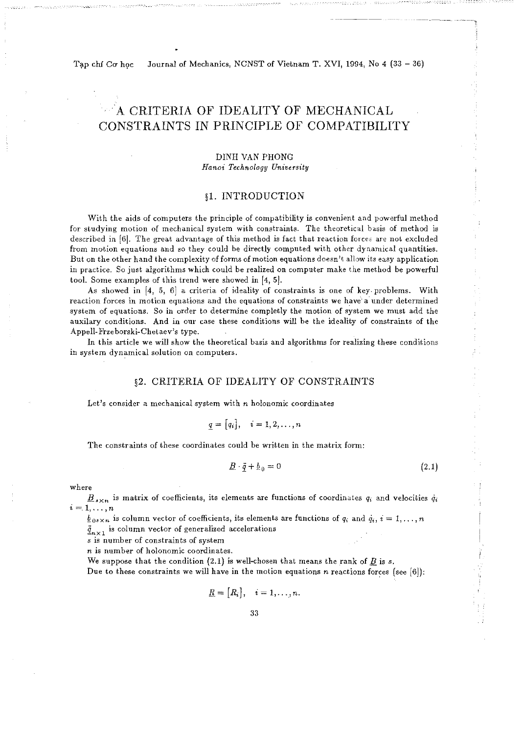Tạp chí Cơ học

Journal of Mechanics, NCNST of Vietnam T. XVI, 1994, No 4 (33 - 36)

# A CRITERIA OF IDEALITY OF MECHANICAL CONSTRAINTS IN PRINCIPLE OF COMPATIBILITY

## DINH VAN PHONG  $H$ anoi Technology University

## §1. INTRODUCTION

With the aids of computers the principle of compatibility is convenient and powerful method for studying motion of mechanical system with constraints. The theoretical basis of method is described in [6]. The great advantage of this method is fact that reaction forces are not excluded from motion equations and so they could be directly computed with other dynamical quantities. But on the other hand the complexity of forms of motion equations doesn't allow its easy application in practice. So just algorithms which could be realized on computer make the method be powerful tool. Some examples of this trend were showed in [4, 5].

As showed in [4, 5, 6) a criteria of ideality of constraints is one of key- problems. With reaction forces in motion equations and the equations of constraints we have a under determined system of equations. So in order to determine completly the motion of system we must add the auxilary conditions. And in our case these conditions will be the ideality of constraints of the Appell-Frzeborski-Chetaev's type.

In this article we will show the theoretical basis and algorithms for realizing these conditions in system dynamical solution on computers.

### §2. CRITERIA OF IDEALITY OF CONSTRAINTS

Let's consider a mechanical system with *n* holonomic coordinates

$$
\underline{q} = [q_i], \quad i = 1, 2, \ldots, n
$$

The constraints of these coordinates could be written in the matrix form:

$$
\underline{B} \cdot \underline{\ddot{q}} + \underline{b}_0 = 0 \tag{2.1}
$$

where

 $B_{s\times n}$  is matrix of coefficients, its elements are functions of coordinates  $q_i$  and velocities  $\dot{q}_i$  $i = 1, \ldots, n$ 

 $\underline{b}_{.08 \times n}$  is column vector of coefficients, its elements are functions of  $q_i$  and  $\dot{q}_i$ ,  $i = 1, ..., n$  $\ddot{q}_{n\times 1}$  is column vector of generalized accelerations

*s* is number of constraints of system

*n* is number of holonomic coordinates.

We suppose that the condition  $(2.1)$  is well-chosen that means the rank of *B* is *s*.

Due to these constraints we will have in the motion equations *n* reactions forces (see [6]):

$$
\underline{R} = [R_i], \quad i = 1, \ldots, n.
$$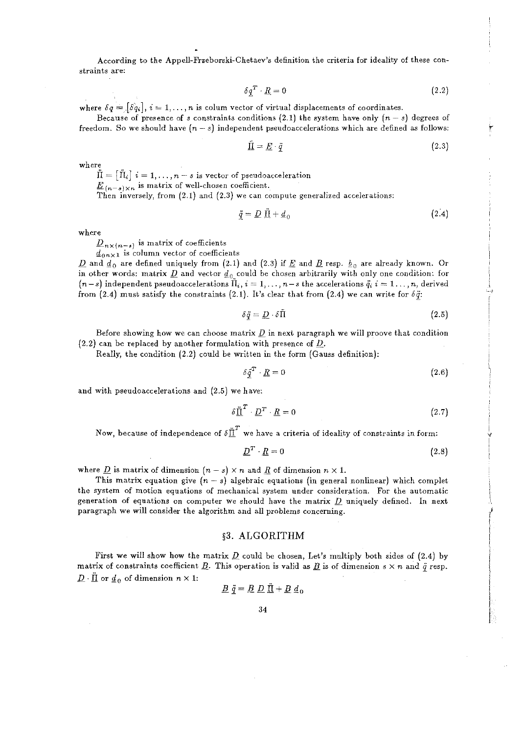According to the Appell-Frzeborski-Chetaev's definition the criteria for ideality of these constraints are:

$$
\delta \underline{q}^T \cdot \underline{R} = 0 \tag{2.2}
$$

where  $\delta q = [\delta q_i], i = 1, ..., n$  is colum vector of virtual displacements of coordinates.

Because of presence of *s* constraints conditions (2.1) the system have only  $(n-s)$  degrees of freedom. So we should have  $(n-s)$  independent pseudoaccelerations which are defined as follows:

$$
\tilde{\Pi} = \underline{E} \cdot \ddot{q} \tag{2.3}
$$

where

 $f_1 = [f_1]$   $i = 1, \ldots, n-s$  is vector of pseudoacceleration

 $\underline{E}_{(n-s)\times n}$  is matrix of well-chosen coefficient.

Then inversely, from (2.1) and (2.3) we can compute generalized accelerations:

$$
\underline{\ddot{q}} = \underline{D} \; \underline{\Pi} + \underline{d}_0 \tag{2.4}
$$

where

 $\underline{D}_{n\times(n-s)}$  is matrix of coefficients

 $d_{0n\times 1}$  is column vector of coefficients

 $\underline{D}$  and  $\underline{d}_0$  are defined uniquely from (2.1) and (2.3) if  $\underline{E}$  and  $\underline{B}$  resp.  $\underline{b}_0$  are already known. Or in other words: matrix  $\underline{D}$  and vector  $\underline{d}_0$  could be chosen arbitrarily with only one condition: for  $(n-s)$  independent pseudoaccelerations  $\tilde{\Pi}_i$ ,  $i = 1, \ldots, n-s$  the accelerations  $\tilde{q}_i$ ,  $i = 1, \ldots, n$ , derived from (2.4) must satisfy the constraints (2.1). It's clear that from (2.4) we can write for  $\delta \ddot{q}$ :

$$
\delta \ddot{q} = \underline{D} \cdot \delta \ddot{\Pi} \tag{2.5}
$$

 $\mathbb{L}^*$ 

*4*  !

 $\cdot$ 

Before showing how we can choose matrix  $D$  in next paragraph we will proove that condition (2.2) can be replaced by another formulation with presence of *D.* 

Really, the condition (2.2) could be written in the form (Gauss definition):

$$
\delta \underline{\ddot{q}}^T \cdot \underline{R} = 0 \tag{2.6}
$$

and with pseudoaccelerations and (2.5) we have:

$$
\delta \underline{\ddot{\Pi}}^T \cdot \underline{D}^T \cdot \underline{R} = 0 \tag{2.7}
$$

Now, because of independence of  $\delta \tilde{\I\!I}^T$  we have a criteria of ideality of constraints in form:

$$
\underline{D}^T \cdot \underline{R} = 0 \tag{2.8}
$$

where  $\underline{D}$  is matrix of dimension  $(n-s) \times n$  and  $\underline{R}$  of dimension  $n \times 1$ .

This matrix equation give  $(n-s)$  algebraic equations (in general nonlinear) which complet the system of motion equations of mechanical system under consideration. For the automatic generation of equations on computer we should have the matrix *D* uniquely defined. In next paragraph we **will** consider the algorithm and all problems concerning.

#### §3. ALGORITHM

First we will show how the matrix  $D$  could be chosen, Let's multiply both sides of (2.4) by matrix of constraints coefficient <u>B</u>. This operation is valid as <u>B</u> is of dimension  $s \times n$  and  $\ddot{q}$  resp.  $\underline{D} \cdot \underline{\Pi}$  or  $\underline{d}_0$  of dimension  $n \times 1$ :

$$
\underline{B} \ \ddot{q} = \underline{B} \ \underline{D} \ \ddot{\underline{\Pi}} + \underline{B} \ \underline{d}_0
$$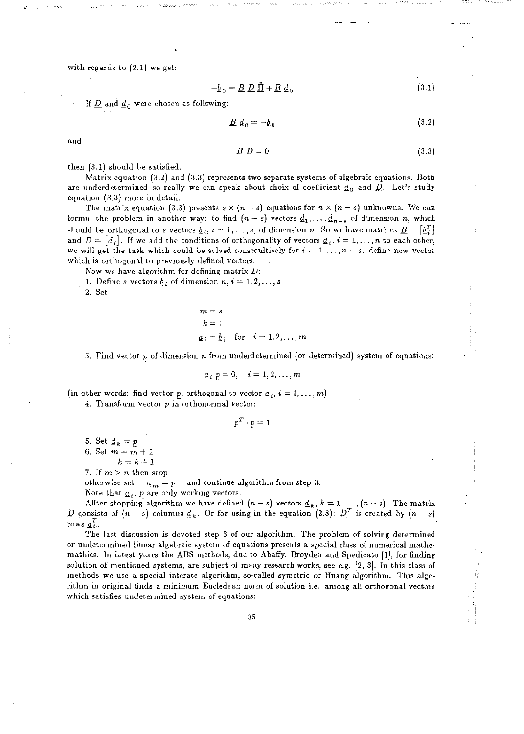with regards to (2.1) we get:

$$
-\underline{b}_0 = \underline{B} \ \underline{D} \ \underline{\Pi} + \underline{B} \ \underline{d}_0 \tag{3.1}
$$

If  $\underline{D}$  and  $\underline{d}_0$  were chosen as following:

$$
\underline{B} \, d_0 = -\underline{b}_0 \tag{3.2}
$$

and

$$
\underline{B} \ \underline{D} = 0 \tag{3.3}
$$

then (3.1) should be satisfied.

Matrix equation (3.2) and (3.3) represents two separate systems of algebraic. equations. Both are underdetermined so really we can speak about choix of coefficient  $\underline{d}_0$  and  $\underline{D}$ . Let's study equation (3.3) more in detail.

The matrix equation (3.3) presents  $s \times (n - s)$  equations for  $n \times (n - s)$  unknowns. We can formul the problem in another way: to find  $(n-s)$  vectors  $\underline{d}_1, \ldots, \underline{d}_{n-s}$  of dimension *n*, which should be orthogonal to *s* vectors  $\underline{b}_i$ ,  $i = 1, ..., s$ , of dimension *n*. So we have matrices  $\underline{B} = [\underline{b}_i^T]$ and  $\underline{D} = [\underline{d}_i]$ . If we add the conditions of orthogonality of vectors  $\underline{d}_i$ ,  $i = 1, ..., n$  to each other, we will get the task which could be solved consecultively for  $i = 1, \ldots, n-s$ : define new vector which is orthogonal to previously defined vectors.

Now we have algorithm for defining matrix *D:* 

1. Define *s* vectors  $\underline{b}_i$  of dimension  $n, i = 1, 2, \ldots, s$ 

2. Set

$$
m = s
$$
  
\n
$$
k = 1
$$
  
\n
$$
\underline{a}_i = \underline{b}_i \text{ for } i = 1, 2, ..., m
$$

3. Find vector p of dimension *n* from underdetermined (or determined) system of equations:

$$
\underline{a}_i p = 0, \quad i = 1, 2, \ldots, m
$$

(in other words: find vector p, orthogonal to vector  $\underline{a}_i$ ,  $i = 1, ..., m$ )

4. Transform vector  $p$  in orthonormal vector:

$$
\underline{p}^T\cdot \underline{p}=1
$$

5. Set  $d_k = p$ 6. Set  $m = m + 1$  $k=k+1$ 

7. If  $m > n$  then stop

otherwise set  $a_m = p$  and continue algorithm from step 3.

Note that  $\underline{a}_i$ ,  $\underline{p}$  are only working vectors.

Affter stopping algorithm we have defined  $(n-s)$  vectors  $\underline{d}_k$ ,  $k = 1, ..., (n-s)$ . The matrix *D* consists of  $(n-s)$  columns  $d_k$ . Or for using in the equation (2.8):  $D^T$  is created by  $(n-s)$ rows  $\underline{d}_k^T$ .

The last discussion is devoted step 3 of our algorithm. The problem of solving determinedor undetermined linear algebraic system .of equations presents a special class of numerical mathemathics. In latest years the ABS methods, due to Abaffy. Broyden and Spedicato [1], for finding solution of mentioned systems, are subject of many research works, see e.g. [2, 3]. In this class of methods we use a. special interate algorithm, so-called symetric or Huang algorithm. This algorithm in original finds a minimum Eucledean norm of solution i.e. among all orthogonal vectors which satisfies undetermined system of equations: